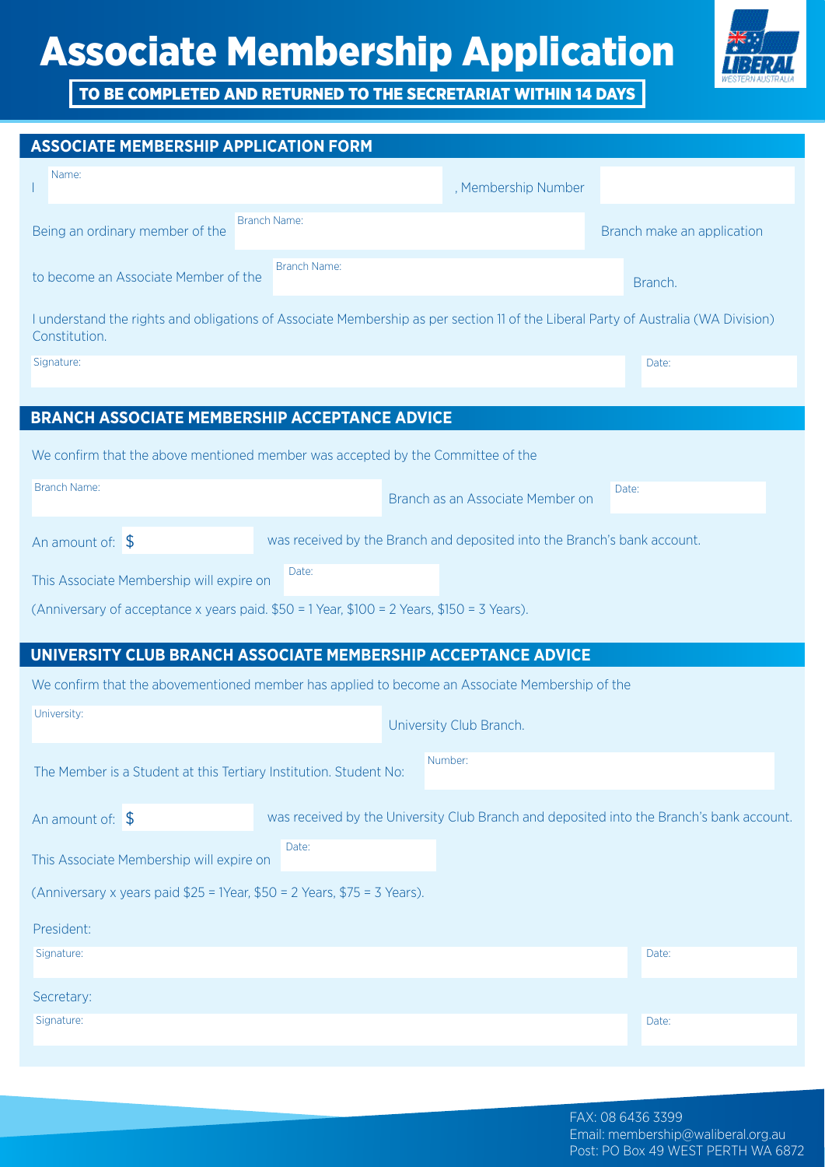

TO BE COMPLETED AND RETURNED TO THE SECRETARIAT WITHIN 14 DAYS

## **ASSOCIATE MEMBERSHIP APPLICATION FORM BRANCH ASSOCIATE MEMBERSHIP ACCEPTANCE ADVICE UNIVERSITY CLUB BRANCH ASSOCIATE MEMBERSHIP ACCEPTANCE ADVICE**  I We confirm that the above mentioned member was accepted by the Committee of the We confirm that the abovementioned member has applied to become an Associate Membership of the President: Secretary: Branch as an Associate Member on University Club Branch. , Membership Number Being an ordinary member of the to become an Associate Member of the The Member is a Student at this Tertiary Institution. Student No: This Associate Membership will expire on This Associate Membership will expire on I understand the rights and obligations of Associate Membership as per section 11 of the Liberal Party of Australia (WA Division) Constitution. Branch make an application Branch. Name: Branch Name: Branch Name: University: Branch Name: Number: Date: Date: Date: Date: Date: Date: Signature: Signature: Signature: An amount of: \$ An amount of: \$ was received by the Branch and deposited into the Branch's bank account. was received by the University Club Branch and deposited into the Branch's bank account. (Anniversary of acceptance x years paid. \$50 = 1 Year, \$100 = 2 Years, \$150 = 3 Years). (Anniversary x years paid \$25 = 1Year, \$50 = 2 Years, \$75 = 3 Years).

## FAX: 08 6436 3399 Email: membership@waliberal.org.au Post: PO Box 49 WEST PERTH WA 6872